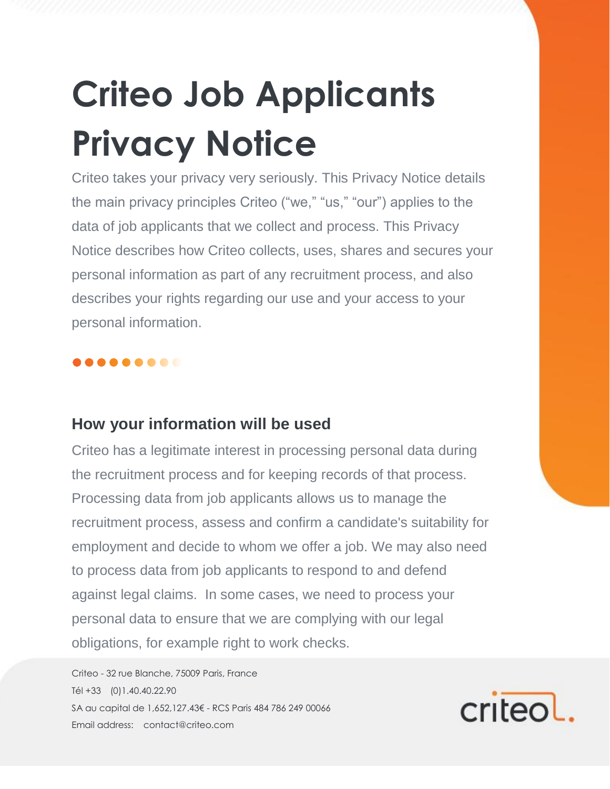# **Criteo Job Applicants Privacy Notice**

Criteo takes your privacy very seriously. This Privacy Notice details the main privacy principles Criteo ("we," "us," "our") applies to the data of job applicants that we collect and process. This Privacy Notice describes how Criteo collects, uses, shares and secures your personal information as part of any recruitment process, and also describes your rights regarding our use and your access to your personal information.

#### ........

#### **How your information will be used**

Criteo has a legitimate interest in processing personal data during the recruitment process and for keeping records of that process. Processing data from job applicants allows us to manage the recruitment process, assess and confirm a candidate's suitability for employment and decide to whom we offer a job. We may also need to process data from job applicants to respond to and defend against legal claims. In some cases, we need to process your personal data to ensure that we are complying with our legal obligations, for example right to work checks.

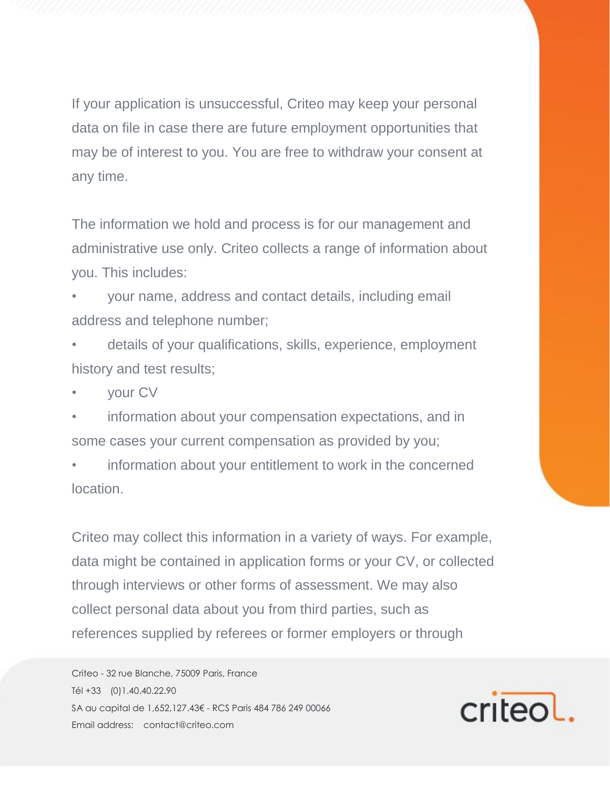If your application is unsuccessful, Criteo may keep your personal data on file in case there are future employment opportunities that may be of interest to you. You are free to withdraw your consent at any time.

The information we hold and process is for our management and administrative use only. Criteo collects a range of information about you. This includes:

• your name, address and contact details, including email address and telephone number;

• details of your qualifications, skills, experience, employment history and test results;

• your CV

information about your compensation expectations, and in some cases your current compensation as provided by you;

information about your entitlement to work in the concerned location.

Criteo may collect this information in a variety of ways. For example, data might be contained in application forms or your CV, or collected through interviews or other forms of assessment. We may also collect personal data about you from third parties, such as references supplied by referees or former employers or through

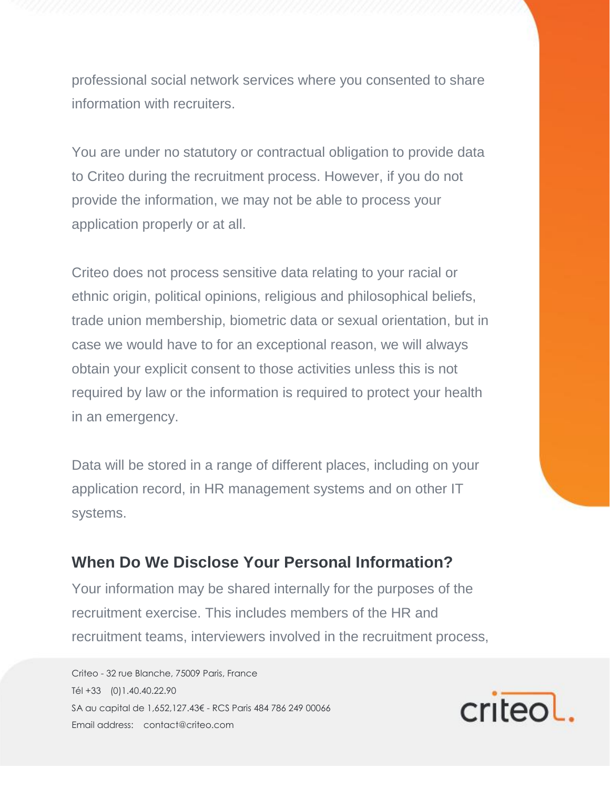professional social network services where you consented to share information with recruiters.

You are under no statutory or contractual obligation to provide data to Criteo during the recruitment process. However, if you do not provide the information, we may not be able to process your application properly or at all.

Criteo does not process sensitive data relating to your racial or ethnic origin, political opinions, religious and philosophical beliefs, trade union membership, biometric data or sexual orientation, but in case we would have to for an exceptional reason, we will always obtain your explicit consent to those activities unless this is not required by law or the information is required to protect your health in an emergency.

Data will be stored in a range of different places, including on your application record, in HR management systems and on other IT systems.

#### **When Do We Disclose Your Personal Information?**

Your information may be shared internally for the purposes of the recruitment exercise. This includes members of the HR and recruitment teams, interviewers involved in the recruitment process,

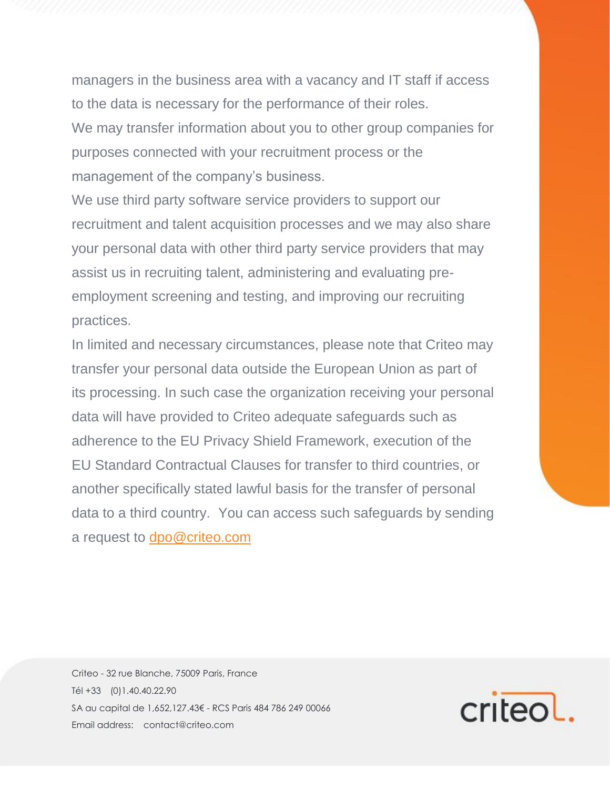managers in the business area with a vacancy and IT staff if access to the data is necessary for the performance of their roles.

We may transfer information about you to other group companies for purposes connected with your recruitment process or the management of the company's business.

We use third party software service providers to support our recruitment and talent acquisition processes and we may also share your personal data with other third party service providers that may assist us in recruiting talent, administering and evaluating preemployment screening and testing, and improving our recruiting practices.

In limited and necessary circumstances, please note that Criteo may transfer your personal data outside the European Union as part of its processing. In such case the organization receiving your personal data will have provided to Criteo adequate safeguards such as adherence to the EU Privacy Shield Framework, execution of the EU Standard Contractual Clauses for transfer to third countries, or another specifically stated lawful basis for the transfer of personal data to a third country. You can access such safeguards by sending a request to [dpo@criteo.com](file:///C:/Users/a.duboucher/AppData/Local/Microsoft/Windows/INetCache/Content.Outlook/02NIFYCB/dpo@criteo.com)

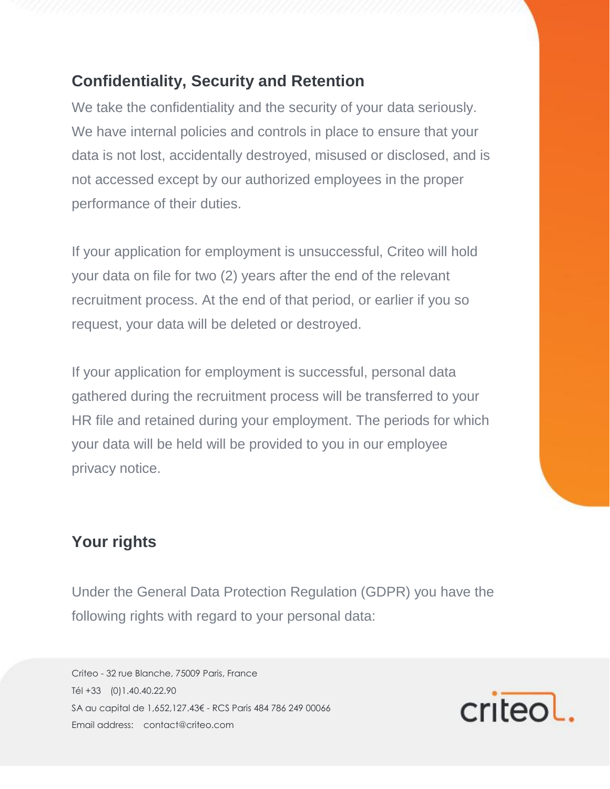### **Confidentiality, Security and Retention**

We take the confidentiality and the security of your data seriously. We have internal policies and controls in place to ensure that your data is not lost, accidentally destroyed, misused or disclosed, and is not accessed except by our authorized employees in the proper performance of their duties.

If your application for employment is unsuccessful, Criteo will hold your data on file for two (2) years after the end of the relevant recruitment process. At the end of that period, or earlier if you so request, your data will be deleted or destroyed.

If your application for employment is successful, personal data gathered during the recruitment process will be transferred to your HR file and retained during your employment. The periods for which your data will be held will be provided to you in our employee privacy notice.

#### **Your rights**

Under the General Data Protection Regulation (GDPR) you have the following rights with regard to your personal data:

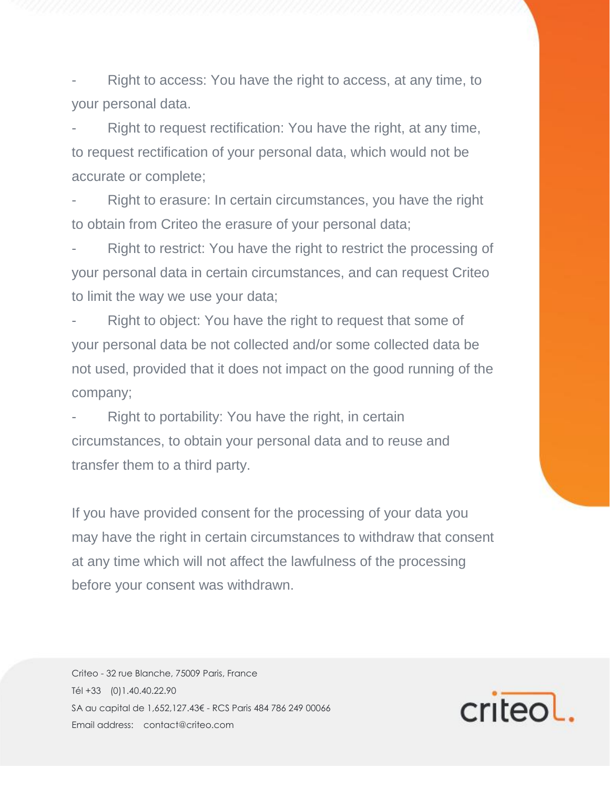Right to access: You have the right to access, at any time, to your personal data.

Right to request rectification: You have the right, at any time, to request rectification of your personal data, which would not be accurate or complete;

Right to erasure: In certain circumstances, you have the right to obtain from Criteo the erasure of your personal data;

Right to restrict: You have the right to restrict the processing of your personal data in certain circumstances, and can request Criteo to limit the way we use your data;

Right to object: You have the right to request that some of your personal data be not collected and/or some collected data be not used, provided that it does not impact on the good running of the company;

Right to portability: You have the right, in certain circumstances, to obtain your personal data and to reuse and transfer them to a third party.

If you have provided consent for the processing of your data you may have the right in certain circumstances to withdraw that consent at any time which will not affect the lawfulness of the processing before your consent was withdrawn.